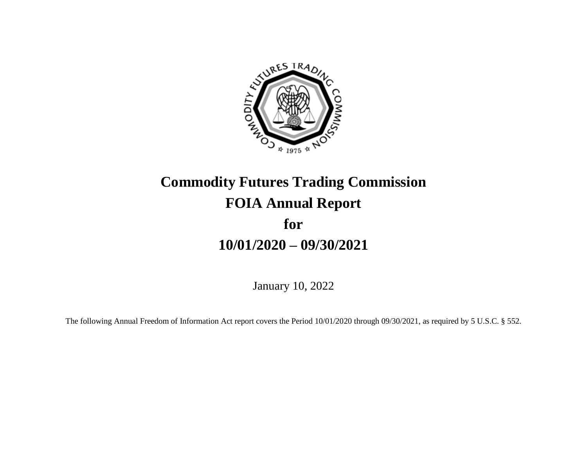

# **Commodity Futures Trading Commission FOIA Annual Report for 10/01/2020 – 09/30/2021**

January 10, 2022

The following Annual Freedom of Information Act report covers the Period 10/01/2020 through 09/30/2021, as required by 5 U.S.C. § 552.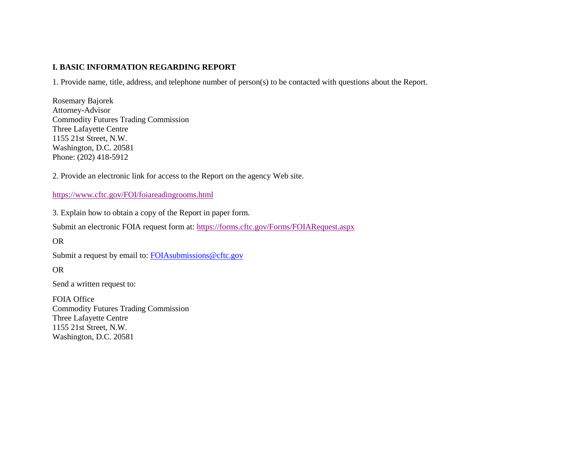#### **I. BASIC INFORMATION REGARDING REPORT**

1. Provide name, title, address, and telephone number of person(s) to be contacted with questions about the Report.

Rosemary Bajorek Attorney-Advisor Commodity Futures Trading Commission Three Lafayette Centre 1155 21st Street, N.W. Washington, D.C. 20581 Phone: (202) 418-5912

2. Provide an electronic link for access to the Report on the agency Web site.

#### <https://www.cftc.gov/FOI/foiareadingrooms.html>

3. Explain how to obtain a copy of the Report in paper form.

Submit an electronic FOIA request form at:<https://forms.cftc.gov/Forms/FOIARequest.aspx>

OR

Submit a request by email to: [FOIAsubmissions@cftc.gov](mailto:FOIAsubmissions@cftc.gov)

OR

Send a written request to:

FOIA Office Commodity Futures Trading Commission Three Lafayette Centre 1155 21st Street, N.W. Washington, D.C. 20581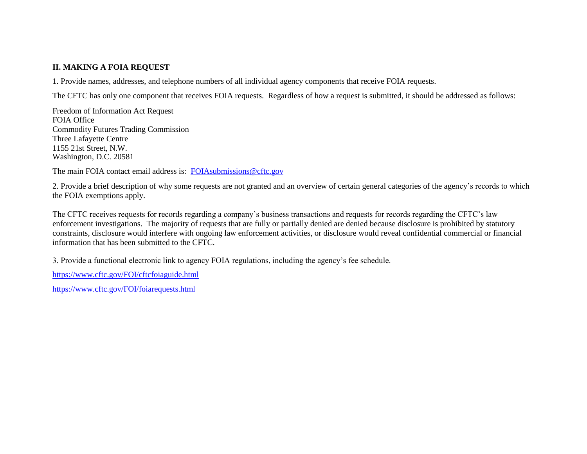#### **II. MAKING A FOIA REQUEST**

1. Provide names, addresses, and telephone numbers of all individual agency components that receive FOIA requests.

The CFTC has only one component that receives FOIA requests. Regardless of how a request is submitted, it should be addressed as follows:

Freedom of Information Act Request FOIA Office Commodity Futures Trading Commission Three Lafayette Centre 1155 21st Street, N.W. Washington, D.C. 20581

The main FOIA contact email address is: [FOIAsubmissions@cftc.gov](mailto:FOIAsubmissions@cftc.gov)

2. Provide a brief description of why some requests are not granted and an overview of certain general categories of the agency's records to which the FOIA exemptions apply.

The CFTC receives requests for records regarding a company's business transactions and requests for records regarding the CFTC's law enforcement investigations. The majority of requests that are fully or partially denied are denied because disclosure is prohibited by statutory constraints, disclosure would interfere with ongoing law enforcement activities, or disclosure would reveal confidential commercial or financial information that has been submitted to the CFTC.

3. Provide a functional electronic link to agency FOIA regulations, including the agency's fee schedule.

<https://www.cftc.gov/FOI/cftcfoiaguide.html>

<https://www.cftc.gov/FOI/foiarequests.html>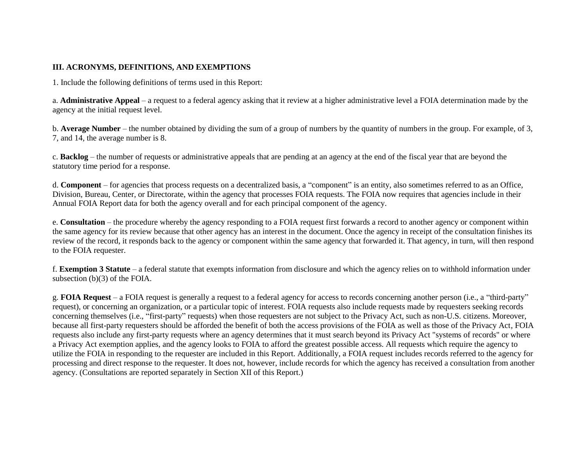#### **III. ACRONYMS, DEFINITIONS, AND EXEMPTIONS**

1. Include the following definitions of terms used in this Report:

a. **Administrative Appeal** – a request to a federal agency asking that it review at a higher administrative level a FOIA determination made by the agency at the initial request level.

b. **Average Number** – the number obtained by dividing the sum of a group of numbers by the quantity of numbers in the group. For example, of 3, 7, and 14, the average number is 8.

c. **Backlog** – the number of requests or administrative appeals that are pending at an agency at the end of the fiscal year that are beyond the statutory time period for a response.

d. **Component** – for agencies that process requests on a decentralized basis, a "component" is an entity, also sometimes referred to as an Office, Division, Bureau, Center, or Directorate, within the agency that processes FOIA requests. The FOIA now requires that agencies include in their Annual FOIA Report data for both the agency overall and for each principal component of the agency.

e. **Consultation** – the procedure whereby the agency responding to a FOIA request first forwards a record to another agency or component within the same agency for its review because that other agency has an interest in the document. Once the agency in receipt of the consultation finishes its review of the record, it responds back to the agency or component within the same agency that forwarded it. That agency, in turn, will then respond to the FOIA requester.

f. **Exemption 3 Statute** – a federal statute that exempts information from disclosure and which the agency relies on to withhold information under subsection (b)(3) of the FOIA.

g. **FOIA Request** – a FOIA request is generally a request to a federal agency for access to records concerning another person (i.e., a "third-party" request), or concerning an organization, or a particular topic of interest. FOIA requests also include requests made by requesters seeking records concerning themselves (i.e., "first-party" requests) when those requesters are not subject to the Privacy Act, such as non-U.S. citizens. Moreover, because all first-party requesters should be afforded the benefit of both the access provisions of the FOIA as well as those of the Privacy Act, FOIA requests also include any first-party requests where an agency determines that it must search beyond its Privacy Act "systems of records" or where a Privacy Act exemption applies, and the agency looks to FOIA to afford the greatest possible access. All requests which require the agency to utilize the FOIA in responding to the requester are included in this Report. Additionally, a FOIA request includes records referred to the agency for processing and direct response to the requester. It does not, however, include records for which the agency has received a consultation from another agency. (Consultations are reported separately in Section XII of this Report.)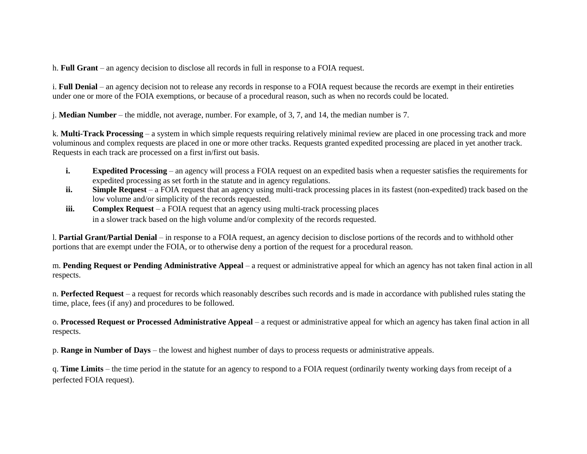h. **Full Grant** – an agency decision to disclose all records in full in response to a FOIA request.

i. **Full Denial** – an agency decision not to release any records in response to a FOIA request because the records are exempt in their entireties under one or more of the FOIA exemptions, or because of a procedural reason, such as when no records could be located.

j. **Median Number** – the middle, not average, number. For example, of 3, 7, and 14, the median number is 7.

k. **Multi-Track Processing** – a system in which simple requests requiring relatively minimal review are placed in one processing track and more voluminous and complex requests are placed in one or more other tracks. Requests granted expedited processing are placed in yet another track. Requests in each track are processed on a first in/first out basis.

- **i. Expedited Processing** an agency will process a FOIA request on an expedited basis when a requester satisfies the requirements for expedited processing as set forth in the statute and in agency regulations.
- **ii.** Simple Request a FOIA request that an agency using multi-track processing places in its fastest (non-expedited) track based on the low volume and/or simplicity of the records requested.
- **iii. Complex Request** a FOIA request that an agency using multi-track processing places in a slower track based on the high volume and/or complexity of the records requested.

l. **Partial Grant/Partial Denial** – in response to a FOIA request, an agency decision to disclose portions of the records and to withhold other portions that are exempt under the FOIA, or to otherwise deny a portion of the request for a procedural reason.

m. **Pending Request or Pending Administrative Appeal** – a request or administrative appeal for which an agency has not taken final action in all respects.

n. Perfected Request – a request for records which reasonably describes such records and is made in accordance with published rules stating the time, place, fees (if any) and procedures to be followed.

o. **Processed Request or Processed Administrative Appeal** – a request or administrative appeal for which an agency has taken final action in all respects.

p. **Range in Number of Days** – the lowest and highest number of days to process requests or administrative appeals.

q. **Time Limits** – the time period in the statute for an agency to respond to a FOIA request (ordinarily twenty working days from receipt of a perfected FOIA request).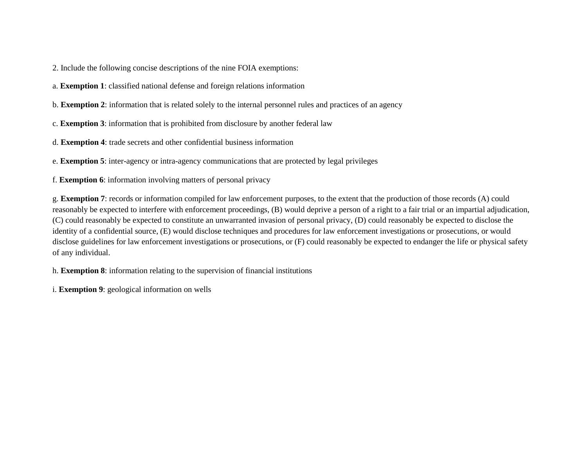2. Include the following concise descriptions of the nine FOIA exemptions:

a. **Exemption 1**: classified national defense and foreign relations information

b. **Exemption 2**: information that is related solely to the internal personnel rules and practices of an agency

c. **Exemption 3**: information that is prohibited from disclosure by another federal law

d. **Exemption 4**: trade secrets and other confidential business information

e. **Exemption 5**: inter-agency or intra-agency communications that are protected by legal privileges

f. **Exemption 6**: information involving matters of personal privacy

g. **Exemption 7**: records or information compiled for law enforcement purposes, to the extent that the production of those records (A) could reasonably be expected to interfere with enforcement proceedings, (B) would deprive a person of a right to a fair trial or an impartial adjudication, (C) could reasonably be expected to constitute an unwarranted invasion of personal privacy, (D) could reasonably be expected to disclose the identity of a confidential source, (E) would disclose techniques and procedures for law enforcement investigations or prosecutions, or would disclose guidelines for law enforcement investigations or prosecutions, or (F) could reasonably be expected to endanger the life or physical safety of any individual.

h. **Exemption 8**: information relating to the supervision of financial institutions

i. **Exemption 9**: geological information on wells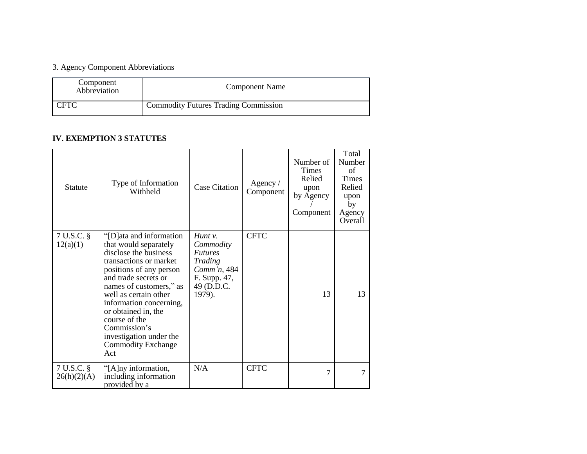## 3. Agency Component Abbreviations

| Component<br>Abbreviation | Component Name                              |
|---------------------------|---------------------------------------------|
| CFTC                      | <b>Commodity Futures Trading Commission</b> |

#### **IV. EXEMPTION 3 STATUTES**

| <b>Statute</b>            | Type of Information<br>Withheld                                                                                                                                                                                                                                                                                                                               | <b>Case Citation</b>                                                                                        | Agency /<br>Component | Number of<br><b>Times</b><br>Relied<br>upon<br>by Agency<br>Component | Total<br>Number<br>of<br><b>Times</b><br>Relied<br>upon<br>by<br>Agency<br>Overall |
|---------------------------|---------------------------------------------------------------------------------------------------------------------------------------------------------------------------------------------------------------------------------------------------------------------------------------------------------------------------------------------------------------|-------------------------------------------------------------------------------------------------------------|-----------------------|-----------------------------------------------------------------------|------------------------------------------------------------------------------------|
| 7 U.S.C. §<br>12(a)(1)    | "[D] at and information"<br>that would separately<br>disclose the business<br>transactions or market<br>positions of any person<br>and trade secrets or<br>names of customers," as<br>well as certain other<br>information concerning,<br>or obtained in, the<br>course of the<br>Commission's<br>investigation under the<br><b>Commodity Exchange</b><br>Act | $H$ unt v.<br>Commodity<br><i>Futures</i><br>Trading<br>Comm'n, 484<br>F. Supp. 47,<br>49 (D.D.C.<br>1979). | <b>CFTC</b>           | 13                                                                    | 13                                                                                 |
| 7 U.S.C. §<br>26(h)(2)(A) | "[A]ny information,<br>including information<br>provided by a                                                                                                                                                                                                                                                                                                 | N/A                                                                                                         | <b>CFTC</b>           | 7                                                                     | 7                                                                                  |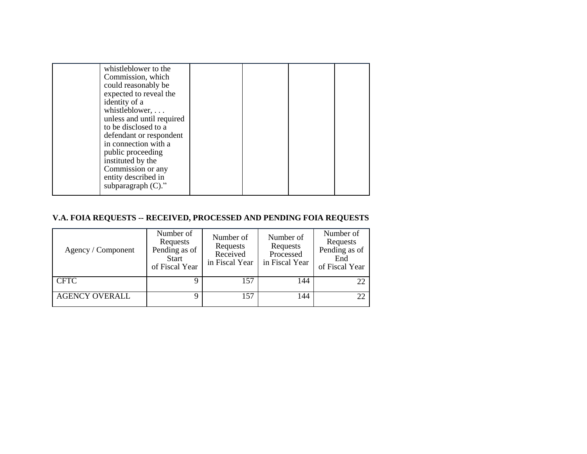| whistleblower to the<br>Commission, which<br>could reasonably be<br>expected to reveal the<br>identity of a<br>whistleblower,<br>unless and until required<br>to be disclosed to a<br>defendant or respondent<br>in connection with a<br>public proceeding<br>instituted by the |  |  |
|---------------------------------------------------------------------------------------------------------------------------------------------------------------------------------------------------------------------------------------------------------------------------------|--|--|
| Commission or any<br>entity described in<br>subparagraph $(C)$ ."                                                                                                                                                                                                               |  |  |

## **V.A. FOIA REQUESTS -- RECEIVED, PROCESSED AND PENDING FOIA REQUESTS**

| Agency / Component    | Number of<br>Requests<br>Pending as of<br><b>Start</b><br>of Fiscal Year | Number of<br>Requests<br>Received<br>in Fiscal Year | Number of<br>Requests<br>Processed<br>in Fiscal Year | Number of<br>Requests<br>Pending as of<br>End<br>of Fiscal Year |
|-----------------------|--------------------------------------------------------------------------|-----------------------------------------------------|------------------------------------------------------|-----------------------------------------------------------------|
| <b>CFTC</b>           |                                                                          | 157                                                 | 144                                                  | 22                                                              |
| <b>AGENCY OVERALL</b> |                                                                          | 157                                                 | 144                                                  | 22                                                              |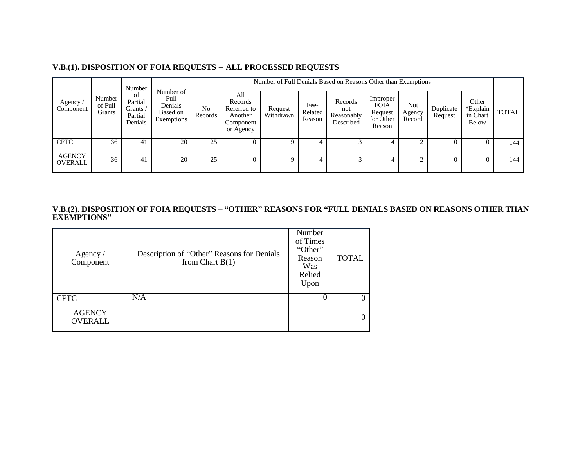| Agency<br>Component             |                             | Number<br>of<br>Partial<br>Grants /<br>Partial<br>Denials | Number of<br>Full<br>Denials<br>Based on<br>Exemptions |                           | Number of Full Denials Based on Reasons Other than Exemptions      |                      |                           |                                           |                                                           |                         |                      |                                               |              |  |
|---------------------------------|-----------------------------|-----------------------------------------------------------|--------------------------------------------------------|---------------------------|--------------------------------------------------------------------|----------------------|---------------------------|-------------------------------------------|-----------------------------------------------------------|-------------------------|----------------------|-----------------------------------------------|--------------|--|
|                                 | Number<br>of Full<br>Grants |                                                           |                                                        | N <sub>0</sub><br>Records | All<br>Records<br>Referred to<br>Another<br>Component<br>or Agency | Request<br>Withdrawn | Fee-<br>Related<br>Reason | Records<br>not<br>Reasonably<br>Described | Improper<br><b>FOIA</b><br>Request<br>for Other<br>Reason | Not<br>Agency<br>Record | Duplicate<br>Request | Other<br>*Explain<br>in Chart<br><b>Below</b> | <b>TOTAL</b> |  |
| <b>CFTC</b>                     | 36                          | 4 <sub>1</sub>                                            | 20                                                     | 25                        | U                                                                  | 9.                   |                           |                                           |                                                           |                         |                      |                                               | 144          |  |
| <b>AGENCY</b><br><b>OVERALL</b> | 36                          | 41                                                        | 20                                                     | 25                        | $\overline{0}$                                                     | 9                    |                           |                                           | 4                                                         |                         |                      |                                               | 144          |  |

**V.B.(2). DISPOSITION OF FOIA REQUESTS – "OTHER" REASONS FOR "FULL DENIALS BASED ON REASONS OTHER THAN EXEMPTIONS"**

| Agency /<br>Component    | Description of "Other" Reasons for Denials<br>from Chart $B(1)$ | Number<br>of Times<br>"Other"<br>Reason<br>Was<br>Relied<br>Upon | <b>TOTAL</b>   |
|--------------------------|-----------------------------------------------------------------|------------------------------------------------------------------|----------------|
| <b>CFTC</b>              | N/A                                                             |                                                                  | $\theta$       |
| <b>AGENCY</b><br>OVERALL |                                                                 |                                                                  | $\overline{0}$ |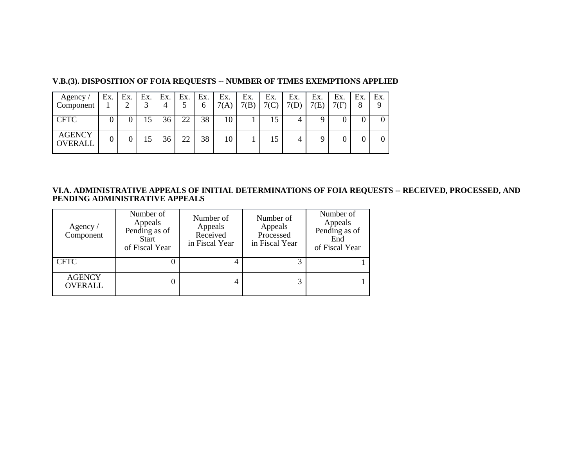| Agency/<br>Component            | Ex. | Ex. | Ex. | Ex.<br>4 | Ex. | Ex.<br>6 | Ex.<br>7(A) | Ex.<br>7(B) | Ex.<br>7(C) | Ex.<br>$7(D)$ . | Ex.<br>7(E) | Ex.<br>7(F) | Ex.<br>8 | Ex.<br>9 |
|---------------------------------|-----|-----|-----|----------|-----|----------|-------------|-------------|-------------|-----------------|-------------|-------------|----------|----------|
| <b>CFTC</b>                     |     |     | 15  | 36       | 22  | 38       | 10          |             | 15          |                 | Q           |             |          |          |
| <b>AGENCY</b><br><b>OVERALL</b> |     |     | 15  | 36       | 22  | 38       | 10          |             | 15          |                 |             |             |          |          |

#### **V.B.(3). DISPOSITION OF FOIA REQUESTS -- NUMBER OF TIMES EXEMPTIONS APPLIED**

#### **VI.A. ADMINISTRATIVE APPEALS OF INITIAL DETERMINATIONS OF FOIA REQUESTS -- RECEIVED, PROCESSED, AND PENDING ADMINISTRATIVE APPEALS**

| Agency $\sqrt{ }$<br>Component  | Number of<br>Appeals<br>Pending as of<br><b>Start</b><br>of Fiscal Year | Number of<br>Appeals<br>Received<br>in Fiscal Year | Number of<br>Appeals<br>Processed<br>in Fiscal Year | Number of<br>Appeals<br>Pending as of<br>End<br>of Fiscal Year |
|---------------------------------|-------------------------------------------------------------------------|----------------------------------------------------|-----------------------------------------------------|----------------------------------------------------------------|
| <b>CFTC</b>                     |                                                                         | 4                                                  |                                                     |                                                                |
| <b>AGENCY</b><br><b>OVERALL</b> |                                                                         |                                                    |                                                     |                                                                |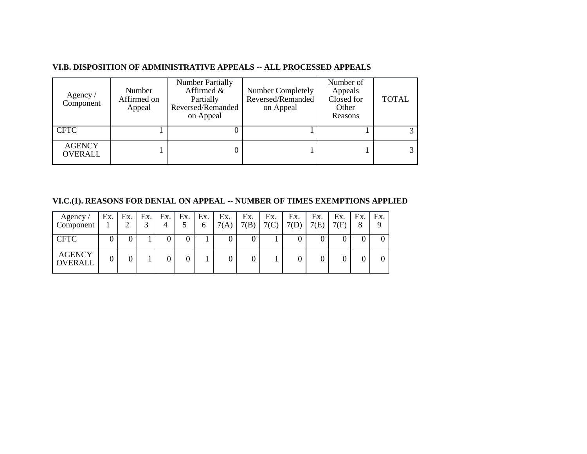#### **VI.B. DISPOSITION OF ADMINISTRATIVE APPEALS -- ALL PROCESSED APPEALS**

| Agency /<br>Component           | Number<br>Affirmed on<br>Appeal | <b>Number Partially</b><br>Affirmed $\&$<br>Partially<br>Reversed/Remanded<br>on Appeal | Number Completely<br>Reversed/Remanded<br>on Appeal | Number of<br>Appeals<br>Closed for<br>Other<br>Reasons | <b>TOTAL</b> |
|---------------------------------|---------------------------------|-----------------------------------------------------------------------------------------|-----------------------------------------------------|--------------------------------------------------------|--------------|
| <b>CFTC</b>                     |                                 |                                                                                         |                                                     |                                                        |              |
| <b>AGENCY</b><br><b>OVERALL</b> |                                 |                                                                                         |                                                     |                                                        |              |

**VI.C.(1). REASONS FOR DENIAL ON APPEAL -- NUMBER OF TIMES EXEMPTIONS APPLIED**

| Agency<br>Component             | Ex. | Ex.<br>∠ | Ex.<br>$\sim$ | Ex. | Ex. | Ex.<br>0 | Ex.<br>7(A) | Ex.<br>7(R) | Ex.<br>7(C) | Ex.<br>7(D) | Ex.<br>7(E) | Ex.<br>7(F) | Ex.<br>8 | Ex.<br>Q |
|---------------------------------|-----|----------|---------------|-----|-----|----------|-------------|-------------|-------------|-------------|-------------|-------------|----------|----------|
| <b>CFTC</b>                     |     |          |               |     |     |          |             |             |             |             |             |             |          |          |
| <b>AGENCY</b><br><b>OVERALL</b> |     |          |               |     |     |          |             |             |             |             |             |             |          |          |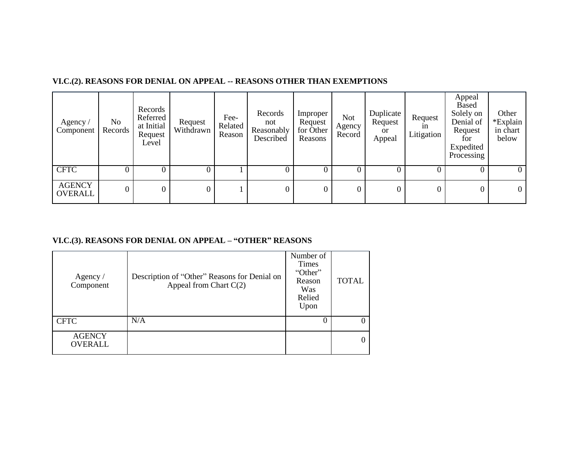| Agency /<br>Component           | No<br>Records | Records<br>Referred<br>at Initial<br>Request<br>Level | Request<br>Withdrawn | Fee-<br>Related<br>Reason | Records<br>not<br>Reasonably<br>Described | Improper<br>Request<br>for Other<br>Reasons | <b>Not</b><br>Agency<br>Record | Duplicate<br>Request<br>or<br>Appeal | Request<br>1n<br>Litigation | Appeal<br>Based<br>Solely on<br>Denial of<br>Request<br>for<br>Expedited<br>Processing | Other<br>*Explain<br>in chart<br>below |
|---------------------------------|---------------|-------------------------------------------------------|----------------------|---------------------------|-------------------------------------------|---------------------------------------------|--------------------------------|--------------------------------------|-----------------------------|----------------------------------------------------------------------------------------|----------------------------------------|
| <b>CFTC</b>                     |               |                                                       |                      |                           |                                           |                                             | $\Omega$                       |                                      |                             | 0                                                                                      | $\theta$                               |
| <b>AGENCY</b><br><b>OVERALL</b> | 0             | $\overline{0}$                                        |                      |                           | $\overline{0}$                            | $\overline{0}$                              | $\boldsymbol{0}$               | 0                                    |                             | $\overline{0}$                                                                         | $\overline{0}$                         |

#### **VI.C.(2). REASONS FOR DENIAL ON APPEAL -- REASONS OTHER THAN EXEMPTIONS**

#### **VI.C.(3). REASONS FOR DENIAL ON APPEAL – "OTHER" REASONS**

| Agency $/$<br>Component  | Description of "Other" Reasons for Denial on<br>Appeal from Chart $C(2)$ | Number of<br><b>Times</b><br>"Other"<br>Reason<br>Was<br>Relied<br>Upon | <b>TOTAL</b> |
|--------------------------|--------------------------------------------------------------------------|-------------------------------------------------------------------------|--------------|
| <b>CFTC</b>              | N/A                                                                      |                                                                         | 0            |
| <b>AGENCY</b><br>OVERALL |                                                                          |                                                                         | 0            |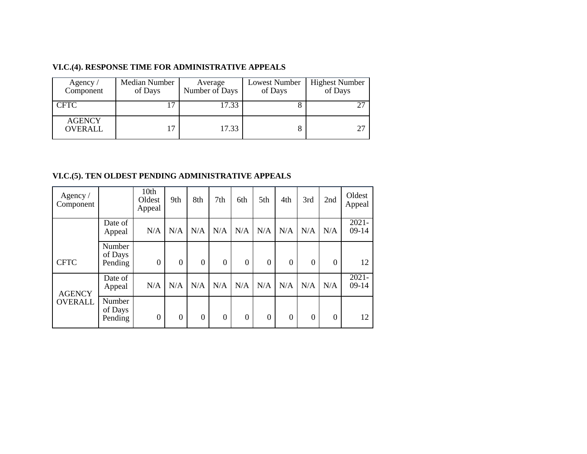#### **VI.C.(4). RESPONSE TIME FOR ADMINISTRATIVE APPEALS**

| Agency/<br>Component            | Median Number<br>of Days | Average<br>Number of Days | Lowest Number<br>of Days | <b>Highest Number</b><br>of Days |
|---------------------------------|--------------------------|---------------------------|--------------------------|----------------------------------|
| <b>CFTC</b>                     | ┑                        | 17.33                     | Õ                        | 27                               |
| <b>AGENCY</b><br><b>OVERALL</b> | $\overline{17}$          | 17.33                     | 8                        | 27                               |

#### **VI.C.(5). TEN OLDEST PENDING ADMINISTRATIVE APPEALS**

| Agency $/$<br>Component |                              | 10th<br>Oldest<br>Appeal | 9th          | 8th      | 7th            | 6th            | 5th              | 4th              | 3rd            | 2nd              | Oldest<br>Appeal    |
|-------------------------|------------------------------|--------------------------|--------------|----------|----------------|----------------|------------------|------------------|----------------|------------------|---------------------|
|                         | Date of<br>Appeal            | N/A                      | N/A          | N/A      | N/A            | N/A            | N/A              | N/A              | N/A            | N/A              | $2021 -$<br>$09-14$ |
| <b>CFTC</b>             | Number<br>of Days<br>Pending | $\theta$                 | $\mathbf{0}$ | $\theta$ | $\overline{0}$ | $\overline{0}$ | $\overline{0}$   | $\theta$         | $\overline{0}$ | $\boldsymbol{0}$ | 12                  |
| <b>AGENCY</b>           | Date of<br>Appeal            | N/A                      | N/A          | N/A      | N/A            | N/A            | N/A              | N/A              | N/A            | N/A              | $2021 -$<br>$09-14$ |
| <b>OVERALL</b>          | Number<br>of Days<br>Pending | $\boldsymbol{0}$         | $\theta$     | $\theta$ | $\overline{0}$ | $\overline{0}$ | $\boldsymbol{0}$ | $\boldsymbol{0}$ | 0              | $\boldsymbol{0}$ | 12                  |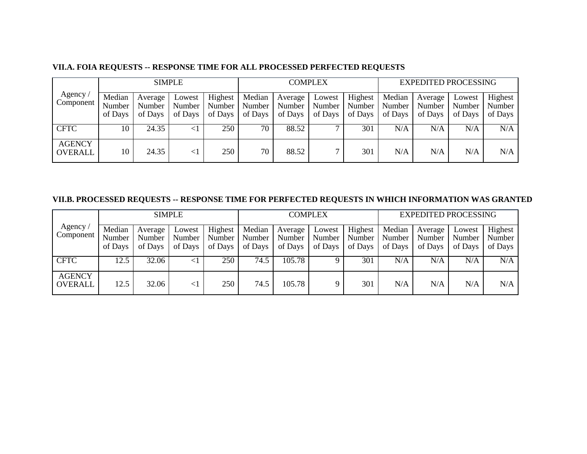|                                 |                             | <b>SIMPLE</b>                |                             |                              |                             | <b>COMPLEX</b>               |                             |                              |                             | <b>EXPEDITED PROCESSING</b>  |                             |                              |  |
|---------------------------------|-----------------------------|------------------------------|-----------------------------|------------------------------|-----------------------------|------------------------------|-----------------------------|------------------------------|-----------------------------|------------------------------|-----------------------------|------------------------------|--|
| Agency<br>Component             | Median<br>Number<br>of Days | Average<br>Number<br>of Days | Lowest<br>Number<br>of Days | Highest<br>Number<br>of Days | Median<br>Number<br>of Days | Average<br>Number<br>of Days | Lowest<br>Number<br>of Days | Highest<br>Number<br>of Days | Median<br>Number<br>of Days | Average<br>Number<br>of Days | Lowest<br>Number<br>of Days | Highest<br>Number<br>of Days |  |
| <b>CFTC</b>                     | 10-                         | 24.35                        | $\lt$                       | 250                          | 70                          | 88.52                        |                             | 301                          | N/A                         | N/A                          | N/A                         | N/A                          |  |
| <b>AGENCY</b><br><b>OVERALL</b> | 10                          | 24.35                        | $\leq$ 1                    | 250                          | 70                          | 88.52                        |                             | 301                          | N/A                         | N/A                          | N/A                         | N/A                          |  |

## **VII.A. FOIA REQUESTS -- RESPONSE TIME FOR ALL PROCESSED PERFECTED REQUESTS**

## **VII.B. PROCESSED REQUESTS -- RESPONSE TIME FOR PERFECTED REQUESTS IN WHICH INFORMATION WAS GRANTED**

|                                 |                             | <b>SIMPLE</b>                |                               |                                |                             | <b>COMPLEX</b>               |                             |                              |                             | <b>EXPEDITED PROCESSING</b>  |                             |                              |  |
|---------------------------------|-----------------------------|------------------------------|-------------------------------|--------------------------------|-----------------------------|------------------------------|-----------------------------|------------------------------|-----------------------------|------------------------------|-----------------------------|------------------------------|--|
| Agency<br>Component             | Median<br>Number<br>of Days | Average<br>Number<br>of Days | Lowest<br>Number 1<br>of Days | Highest<br>Number  <br>of Days | Median<br>Number<br>of Days | Average<br>Number<br>of Days | Lowest<br>Number<br>of Days | Highest<br>Number<br>of Days | Median<br>Number<br>of Days | Average<br>Number<br>of Days | Lowest<br>Number<br>of Days | Highest<br>Number<br>of Days |  |
| <b>CFTC</b>                     | 12.5                        | 32.06                        |                               | 250                            | 74.5                        | 105.78                       |                             | 301                          | N/A                         | N/A                          | N/A                         | N/A                          |  |
| <b>AGENCY</b><br><b>OVERALL</b> | 12.5                        | 32.06                        | $\leq$ 1                      | 250                            | 74.5                        | 105.78                       |                             | 301                          | N/A                         | N/A                          | N/A                         | N/A                          |  |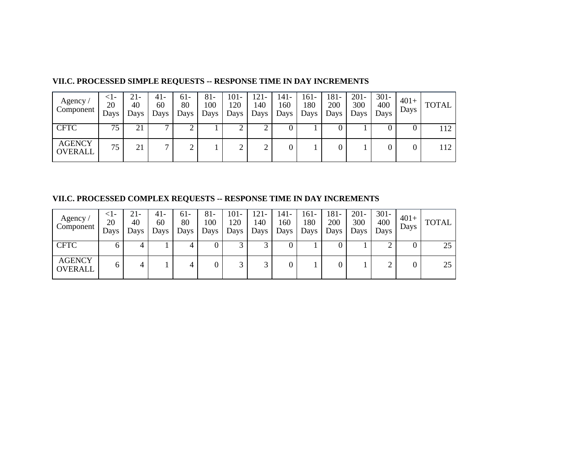| Agency $\overline{a}$<br>Component | <1-<br>20<br>Days | 21-<br>40<br>Days | 41-<br>60<br>Days | $61-$<br>80<br>Days | $81 -$<br>100<br>Days | $101 -$<br>120<br>Days | $121 -$<br>140<br>Days | 141-<br>160<br>Days | 161-<br>180<br>Days | 181-<br>200<br>Days | $201 -$<br>300<br>Days | $301 -$<br>400<br>Days | $401+$<br>Days | <b>TOTAL</b> |
|------------------------------------|-------------------|-------------------|-------------------|---------------------|-----------------------|------------------------|------------------------|---------------------|---------------------|---------------------|------------------------|------------------------|----------------|--------------|
| <b>CFTC</b>                        | 75                | 21                | −                 |                     |                       |                        |                        | $\theta$            |                     |                     |                        |                        |                | 112          |
| <b>AGENCY</b><br><b>OVERALL</b>    | 75                | 21                | −                 | $\gamma$<br>↩       |                       |                        | ◠                      | 0                   |                     |                     |                        |                        |                | 112          |

## **VII.C. PROCESSED SIMPLE REQUESTS -- RESPONSE TIME IN DAY INCREMENTS**

**VII.C. PROCESSED COMPLEX REQUESTS -- RESPONSE TIME IN DAY INCREMENTS**

| Agency,<br>Component            | <1-<br>20<br>Days | 21-<br>40<br>Days | 41-<br>60<br>Days | 61-<br>80<br>Days | 81-<br>100<br>Days | $101 -$<br>120<br>Days | $121 -$<br>140<br>Days | 141-<br>160<br>Days | 161-<br>180<br>Days | $181 -$<br>200<br>Days | $201 -$<br>300<br>Days | $301 -$<br>400<br>Days | $401+$<br>Days | <b>TOTAL</b> |
|---------------------------------|-------------------|-------------------|-------------------|-------------------|--------------------|------------------------|------------------------|---------------------|---------------------|------------------------|------------------------|------------------------|----------------|--------------|
| <b>CFTC</b>                     |                   | 4                 |                   |                   |                    |                        |                        | U                   |                     | v                      |                        | ∸                      |                | 25           |
| <b>AGENCY</b><br><b>OVERALL</b> | 6                 | 4                 |                   | 4                 | 0                  |                        | ⌒                      | 0                   |                     |                        |                        |                        |                | 25           |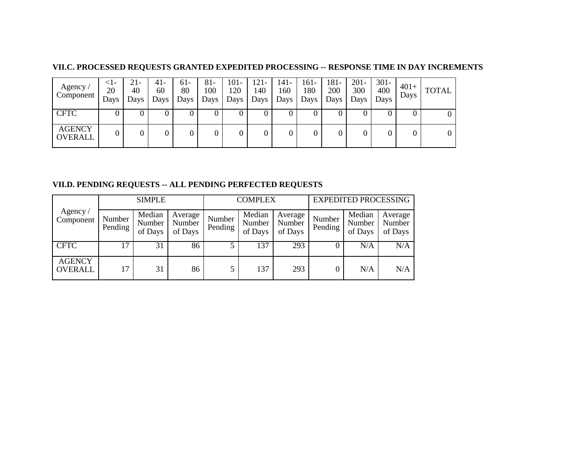#### **VII.C. PROCESSED REQUESTS GRANTED EXPEDITED PROCESSING -- RESPONSE TIME IN DAY INCREMENTS**

| Agency/<br>Component            | $\leq$ -<br>20<br>Days | 21-<br>40<br>Days | 41-<br>60<br>Days | $61-$<br>80<br>Days | 81-<br>100<br>Days | $101 -$<br>120<br>Days | $121 -$<br>140<br>Days | 141-<br>160<br>Days | 161-<br>180<br>Days | $181 -$<br>200<br>Days | $201 -$<br>300<br>Days | $301 -$<br>400<br>Days | $401+$<br>Days | <b>TOTAL</b> |
|---------------------------------|------------------------|-------------------|-------------------|---------------------|--------------------|------------------------|------------------------|---------------------|---------------------|------------------------|------------------------|------------------------|----------------|--------------|
| <b>CFTC</b>                     | 0                      |                   | υ                 |                     |                    |                        |                        | U                   | υ                   | U                      |                        | U                      |                |              |
| <b>AGENCY</b><br><b>OVERALL</b> | 0                      |                   |                   |                     | 0                  |                        |                        | 0                   |                     |                        |                        | 0                      |                |              |

#### **VII.D. PENDING REQUESTS -- ALL PENDING PERFECTED REQUESTS**

|                                 |                   | <b>SIMPLE</b>               |                              |                   | <b>COMPLEX</b>              |                              | <b>EXPEDITED PROCESSING</b> |                             |                              |  |
|---------------------------------|-------------------|-----------------------------|------------------------------|-------------------|-----------------------------|------------------------------|-----------------------------|-----------------------------|------------------------------|--|
| Agency/<br>Component            | Number<br>Pending | Median<br>Number<br>of Days | Average<br>Number<br>of Days | Number<br>Pending | Median<br>Number<br>of Days | Average<br>Number<br>of Days | Number<br>Pending           | Median<br>Number<br>of Days | Average<br>Number<br>of Days |  |
| <b>CFTC</b>                     | 17                | 31                          | 86                           |                   | 137                         | 293                          |                             | N/A                         | N/A                          |  |
| <b>AGENCY</b><br><b>OVERALL</b> | 17                | 31                          | 86                           |                   | 137                         | 293                          |                             | N/A                         | N/A                          |  |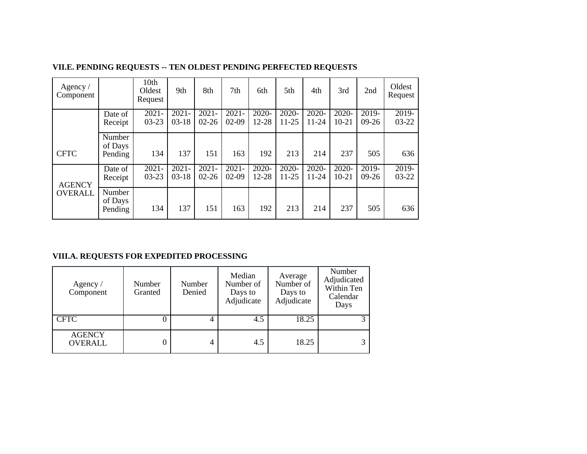| Agency $/$<br>Component |                              | 10th<br>Oldest<br>Request | 9th                 | 8th                   | 7th                 | 6th               | 5th                   | 4th                   | 3rd                   | 2nd                | Oldest<br>Request  |
|-------------------------|------------------------------|---------------------------|---------------------|-----------------------|---------------------|-------------------|-----------------------|-----------------------|-----------------------|--------------------|--------------------|
|                         | Date of<br>Receipt           | $2021 -$<br>$03-23$       | $2021 -$<br>$03-18$ | $2021 -$<br>$02 - 26$ | $2021 -$<br>$02-09$ | $2020 -$<br>12-28 | $2020 -$<br>$11 - 25$ | $2020 -$<br>$11 - 24$ | $2020 -$<br>$10 - 21$ | $2019-$<br>$09-26$ | $2019-$<br>$03-22$ |
| <b>CFTC</b>             | Number<br>of Days<br>Pending | 134                       | 137                 | 151                   | 163                 | 192               | 213                   | 214                   | 237                   | 505                | 636                |
| <b>AGENCY</b>           | Date of<br>Receipt           | $2021 -$<br>$03 - 23$     | $2021 -$<br>$03-18$ | $2021 -$<br>$02 - 26$ | $2021 -$<br>$02-09$ | $2020 -$<br>12-28 | $2020 -$<br>$11 - 25$ | $2020 -$<br>11-24     | $2020 -$<br>$10 - 21$ | $2019-$<br>$09-26$ | $2019-$<br>$03-22$ |
| <b>OVERALL</b>          | Number<br>of Days<br>Pending | 134                       | 137                 | 151                   | 163                 | 192               | 213                   | 214                   | 237                   | 505                | 636                |

#### **VII.E. PENDING REQUESTS -- TEN OLDEST PENDING PERFECTED REQUESTS**

## **VIII.A. REQUESTS FOR EXPEDITED PROCESSING**

| Agency $/$<br>Component         | Number<br>Granted | Number<br>Denied | Median<br>Number of<br>Days to<br>Adjudicate | Average<br>Number of<br>Days to<br>Adjudicate | Number<br>Adjudicated<br>Within Ten<br>Calendar<br>Days |
|---------------------------------|-------------------|------------------|----------------------------------------------|-----------------------------------------------|---------------------------------------------------------|
| <b>CFTC</b>                     | U                 |                  | 4.5                                          | 18.25                                         |                                                         |
| <b>AGENCY</b><br><b>OVERALL</b> | U                 | 4                | 4.5                                          | 18.25                                         | 3                                                       |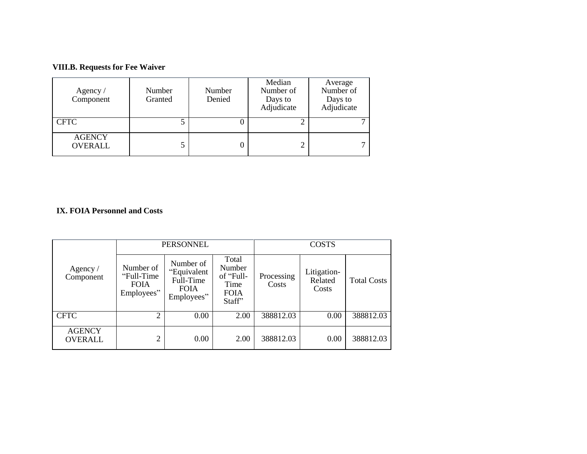## **VIII.B. Requests for Fee Waiver**

| Agency $\sqrt{ }$<br>Component  | Number<br>Granted | Number<br>Denied | Median<br>Number of<br>Days to<br>Adjudicate | Average<br>Number of<br>Days to<br>Adjudicate |
|---------------------------------|-------------------|------------------|----------------------------------------------|-----------------------------------------------|
| <b>CFTC</b>                     |                   |                  |                                              |                                               |
| <b>AGENCY</b><br><b>OVERALL</b> |                   |                  |                                              |                                               |

## **IX. FOIA Personnel and Costs**

|                                 |                                                       | <b>PERSONNEL</b>                                                   |                                                               | <b>COSTS</b>        |                                 |                    |  |
|---------------------------------|-------------------------------------------------------|--------------------------------------------------------------------|---------------------------------------------------------------|---------------------|---------------------------------|--------------------|--|
| Agency $/$<br>Component         | Number of<br>"Full-Time"<br><b>FOIA</b><br>Employees" | Number of<br>"Equivalent<br>Full-Time<br><b>FOIA</b><br>Employees" | Total<br>Number<br>of "Full-<br>Time<br><b>FOIA</b><br>Staff" | Processing<br>Costs | Litigation-<br>Related<br>Costs | <b>Total Costs</b> |  |
| <b>CFTC</b>                     |                                                       | 0.00                                                               | 2.00                                                          | 388812.03           | 0.00                            | 388812.03          |  |
| <b>AGENCY</b><br><b>OVERALL</b> | ◠                                                     | 0.00                                                               | 2.00                                                          | 388812.03           | 0.00                            | 388812.03          |  |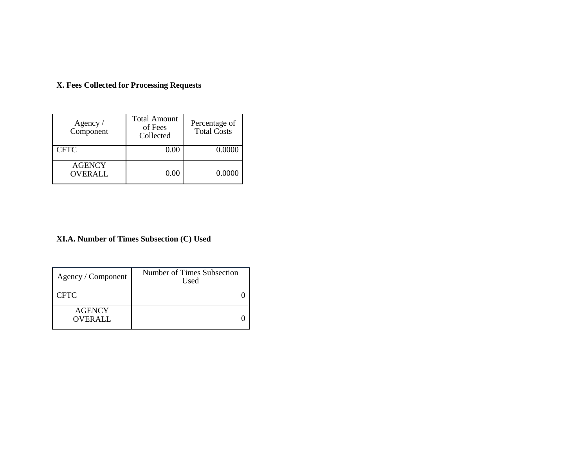| X. Fees Collected for Processing Requests |  |  |  |  |  |  |
|-------------------------------------------|--|--|--|--|--|--|
|-------------------------------------------|--|--|--|--|--|--|

| Agency /<br>Component           | <b>Total Amount</b><br>of Fees<br>Collected | Percentage of<br><b>Total Costs</b> |
|---------------------------------|---------------------------------------------|-------------------------------------|
| <b>CFTC</b>                     | $0.00\,$                                    | 0.0000                              |
| <b>AGENCY</b><br><b>OVERALL</b> | 0.00                                        | 0.0000                              |

## **XI.A. Number of Times Subsection (C) Used**

| Agency / Component              | Number of Times Subsection<br>Used |
|---------------------------------|------------------------------------|
| <b>CFTC</b>                     |                                    |
| <b>AGENCY</b><br><b>OVERALL</b> |                                    |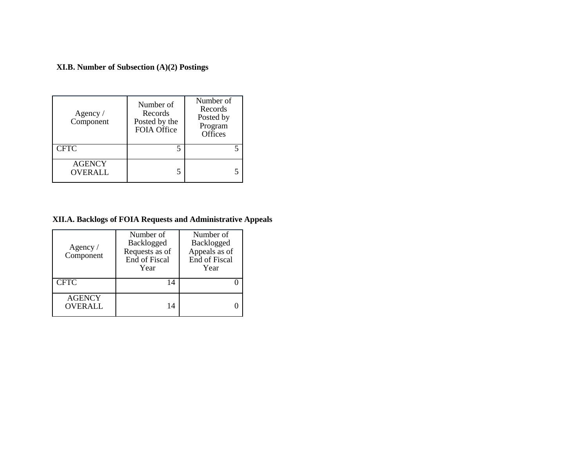**XI.B. Number of Subsection (A)(2) Postings**

| Agency /<br>Component           | Number of<br>Records<br>Posted by the<br>FOIA Office | Number of<br>Records<br>Posted by<br>Program<br>Offices |
|---------------------------------|------------------------------------------------------|---------------------------------------------------------|
| <b>CFTC</b>                     |                                                      |                                                         |
| <b>AGENCY</b><br><b>OVERALL</b> |                                                      |                                                         |

## **XII.A. Backlogs of FOIA Requests and Administrative Appeals**

| Agency $\sqrt{ }$<br>Component | Number of<br>Backlogged<br>Requests as of<br>End of Fiscal<br>Year | Number of<br>Backlogged<br>Appeals as of<br>End of Fiscal<br>Year |  |
|--------------------------------|--------------------------------------------------------------------|-------------------------------------------------------------------|--|
| <b>CFTC</b>                    | 14                                                                 |                                                                   |  |
| <b>AGENCY</b><br>OVERALL       | 14                                                                 |                                                                   |  |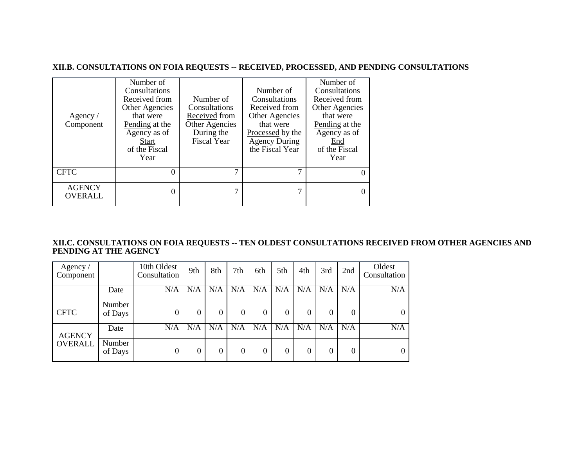#### **XII.B. CONSULTATIONS ON FOIA REQUESTS -- RECEIVED, PROCESSED, AND PENDING CONSULTATIONS**

| Agency $/$<br>Component  | Number of<br>Consultations<br>Received from<br>Other Agencies<br>that were<br>Pending at the<br>Agency as of<br>Start<br>of the Fiscal<br>Year | Number of<br>Consultations<br>Received from<br>Other Agencies<br>During the<br><b>Fiscal Year</b> | Number of<br>Consultations<br>Received from<br>Other Agencies<br>that were<br>Processed by the<br><b>Agency During</b><br>the Fiscal Year | Number of<br>Consultations<br>Received from<br>Other Agencies<br>that were<br>Pending at the<br>Agency as of<br>End<br>of the Fiscal<br>Year |
|--------------------------|------------------------------------------------------------------------------------------------------------------------------------------------|---------------------------------------------------------------------------------------------------|-------------------------------------------------------------------------------------------------------------------------------------------|----------------------------------------------------------------------------------------------------------------------------------------------|
| <b>CFTC</b>              |                                                                                                                                                |                                                                                                   |                                                                                                                                           | $\theta$                                                                                                                                     |
| <b>AGENCY</b><br>OVERALL |                                                                                                                                                | ⇁                                                                                                 | 7                                                                                                                                         |                                                                                                                                              |

#### **XII.C. CONSULTATIONS ON FOIA REQUESTS -- TEN OLDEST CONSULTATIONS RECEIVED FROM OTHER AGENCIES AND PENDING AT THE AGENCY**

| Agency/<br>Component |                   | 10th Oldest<br>Consultation | 9th | 8th      | 7th              | 6th | 5th      | 4th      | 3rd | 2nd | Oldest<br>Consultation |
|----------------------|-------------------|-----------------------------|-----|----------|------------------|-----|----------|----------|-----|-----|------------------------|
|                      | Date              | N/A                         | N/A | N/A      | N/A              | N/A | N/A      | N/A      | N/A | N/A | N/A                    |
| <b>CFTC</b>          | Number<br>of Days | 0                           |     | 0        | $\boldsymbol{0}$ | 0   | $\Omega$ | $\theta$ | 0   | 0   | $\overline{0}$         |
| <b>AGENCY</b>        | Date              | N/A                         | N/A | N/A      | N/A              | N/A | N/A      | N/A      | N/A | N/A | N/A                    |
| <b>OVERALL</b>       | Number<br>of Days | 0                           |     | $\Omega$ | $\mathbf{0}$     | 0   | $\Omega$ | U        | 0   | 0   | $\Omega$               |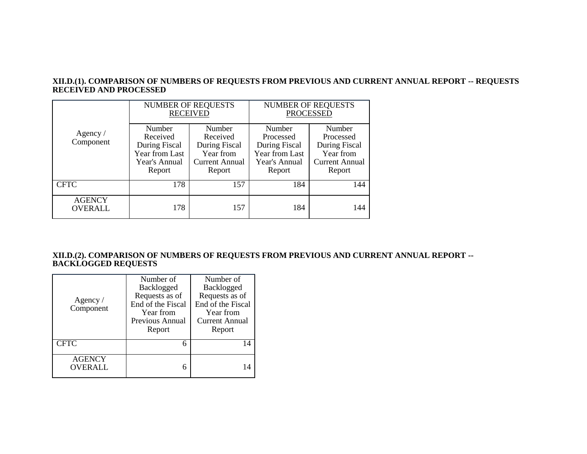#### **XII.D.(1). COMPARISON OF NUMBERS OF REQUESTS FROM PREVIOUS AND CURRENT ANNUAL REPORT -- REQUESTS RECEIVED AND PROCESSED**

|                                 |                                                                                  | <b>NUMBER OF REQUESTS</b><br><b>RECEIVED</b>                                        | <b>NUMBER OF REQUESTS</b><br><b>PROCESSED</b>                                     |                                                                                      |  |
|---------------------------------|----------------------------------------------------------------------------------|-------------------------------------------------------------------------------------|-----------------------------------------------------------------------------------|--------------------------------------------------------------------------------------|--|
| Agency $/$<br>Component         | Number<br>Received<br>During Fiscal<br>Year from Last<br>Year's Annual<br>Report | Number<br>Received<br>During Fiscal<br>Year from<br><b>Current Annual</b><br>Report | Number<br>Processed<br>During Fiscal<br>Year from Last<br>Year's Annual<br>Report | Number<br>Processed<br>During Fiscal<br>Year from<br><b>Current Annual</b><br>Report |  |
| <b>CFTC</b>                     | 178                                                                              | 157                                                                                 | 184                                                                               | 144                                                                                  |  |
| <b>AGENCY</b><br><b>OVERALL</b> | 178                                                                              | 157                                                                                 | 184                                                                               | 144                                                                                  |  |

#### **XII.D.(2). COMPARISON OF NUMBERS OF REQUESTS FROM PREVIOUS AND CURRENT ANNUAL REPORT -- BACKLOGGED REQUESTS**

| Agency /<br>Component    | Number of<br>Backlogged<br>Requests as of<br>End of the Fiscal<br>Year from<br>Previous Annual<br>Report | Number of<br>Backlogged<br>Requests as of<br>End of the Fiscal<br>Year from<br>Current Annual<br>Report |
|--------------------------|----------------------------------------------------------------------------------------------------------|---------------------------------------------------------------------------------------------------------|
| <b>CFTC</b>              | 6                                                                                                        | 14                                                                                                      |
| <b>AGENCY</b><br>OVERALL | 6                                                                                                        |                                                                                                         |